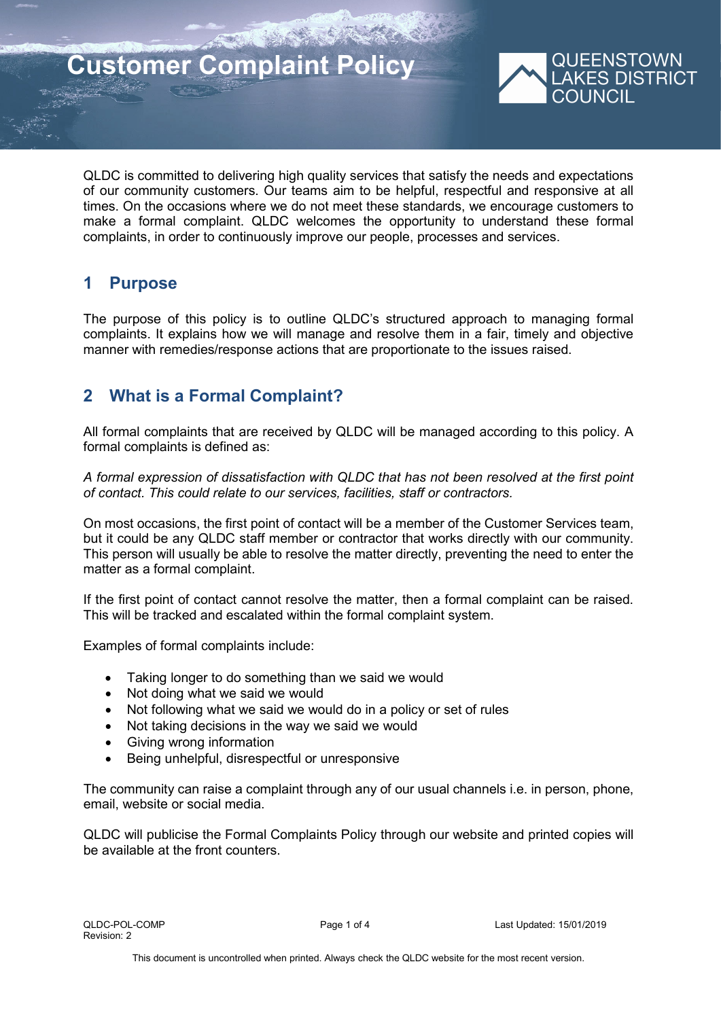# **Customer Complaint Policy**



QLDC is committed to delivering high quality services that satisfy the needs and expectations of our community customers. Our teams aim to be helpful, respectful and responsive at all times. On the occasions where we do not meet these standards, we encourage customers to make a formal complaint. QLDC welcomes the opportunity to understand these formal complaints, in order to continuously improve our people, processes and services.

## **1 Purpose**

The purpose of this policy is to outline QLDC's structured approach to managing formal complaints. It explains how we will manage and resolve them in a fair, timely and objective manner with remedies/response actions that are proportionate to the issues raised.

# **2 What is a Formal Complaint?**

All formal complaints that are received by QLDC will be managed according to this policy. A formal complaints is defined as:

*A formal expression of dissatisfaction with QLDC that has not been resolved at the first point of contact. This could relate to our services, facilities, staff or contractors.*

On most occasions, the first point of contact will be a member of the Customer Services team, but it could be any QLDC staff member or contractor that works directly with our community. This person will usually be able to resolve the matter directly, preventing the need to enter the matter as a formal complaint.

If the first point of contact cannot resolve the matter, then a formal complaint can be raised. This will be tracked and escalated within the formal complaint system.

Examples of formal complaints include:

- Taking longer to do something than we said we would
- Not doing what we said we would
- Not following what we said we would do in a policy or set of rules
- Not taking decisions in the way we said we would
- Giving wrong information
- Being unhelpful, disrespectful or unresponsive

The community can raise a complaint through any of our usual channels i.e. in person, phone, email, website or social media.

QLDC will publicise the Formal Complaints Policy through our website and printed copies will be available at the front counters.

QLDC-POL-COMP Page 1 of 4 Last Updated: 15/01/2019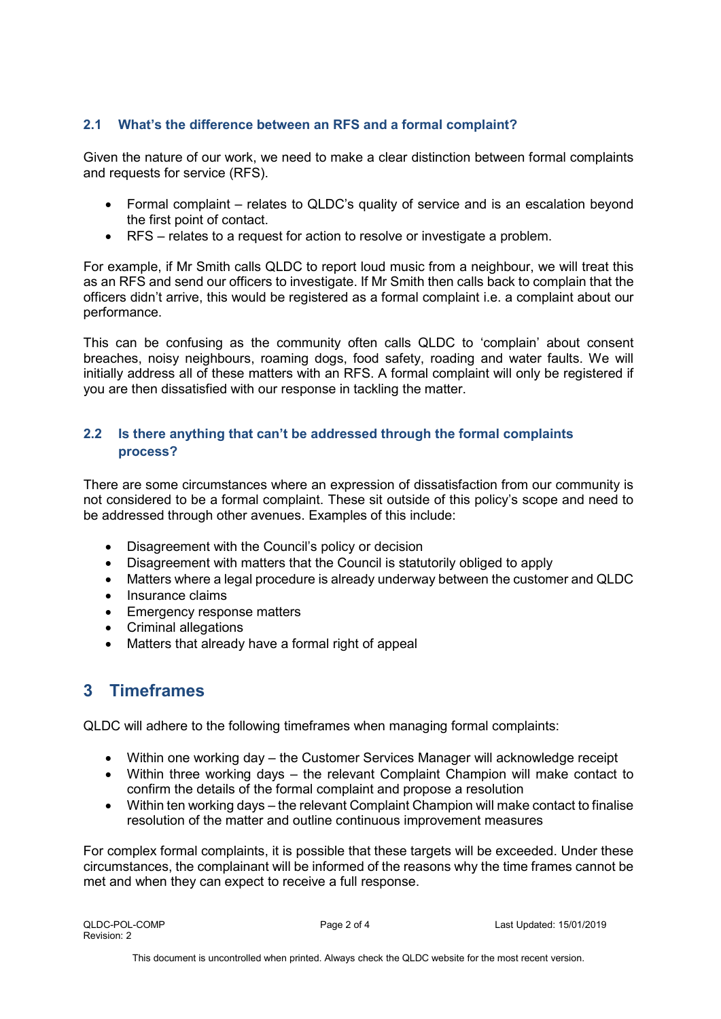## **2.1 What's the difference between an RFS and a formal complaint?**

Given the nature of our work, we need to make a clear distinction between formal complaints and requests for service (RFS).

- Formal complaint relates to QLDC's quality of service and is an escalation beyond the first point of contact.
- RFS relates to a request for action to resolve or investigate a problem.

For example, if Mr Smith calls QLDC to report loud music from a neighbour, we will treat this as an RFS and send our officers to investigate. If Mr Smith then calls back to complain that the officers didn't arrive, this would be registered as a formal complaint i.e. a complaint about our performance.

This can be confusing as the community often calls QLDC to 'complain' about consent breaches, noisy neighbours, roaming dogs, food safety, roading and water faults. We will initially address all of these matters with an RFS. A formal complaint will only be registered if you are then dissatisfied with our response in tackling the matter.

## **2.2 Is there anything that can't be addressed through the formal complaints process?**

There are some circumstances where an expression of dissatisfaction from our community is not considered to be a formal complaint. These sit outside of this policy's scope and need to be addressed through other avenues. Examples of this include:

- Disagreement with the Council's policy or decision
- Disagreement with matters that the Council is statutorily obliged to apply
- Matters where a legal procedure is already underway between the customer and QLDC
- Insurance claims
- Emergency response matters
- Criminal allegations
- Matters that already have a formal right of appeal

## **3 Timeframes**

QLDC will adhere to the following timeframes when managing formal complaints:

- Within one working day the Customer Services Manager will acknowledge receipt
- Within three working days the relevant Complaint Champion will make contact to confirm the details of the formal complaint and propose a resolution
- Within ten working days the relevant Complaint Champion will make contact to finalise resolution of the matter and outline continuous improvement measures

For complex formal complaints, it is possible that these targets will be exceeded. Under these circumstances, the complainant will be informed of the reasons why the time frames cannot be met and when they can expect to receive a full response.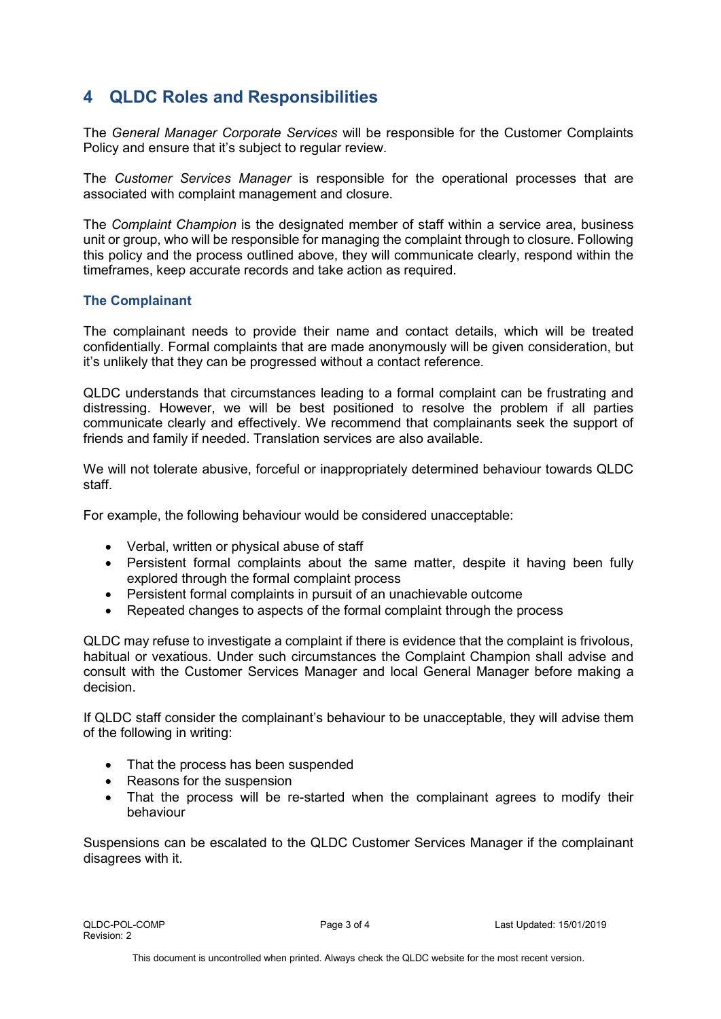# **4 QLDC Roles and Responsibilities**

The *General Manager Corporate Services* will be responsible for the Customer Complaints Policy and ensure that it's subject to regular review.

The *Customer Services Manager* is responsible for the operational processes that are associated with complaint management and closure.

The *Complaint Champion* is the designated member of staff within a service area, business unit or group, who will be responsible for managing the complaint through to closure. Following this policy and the process outlined above, they will communicate clearly, respond within the timeframes, keep accurate records and take action as required.

## **The Complainant**

The complainant needs to provide their name and contact details, which will be treated confidentially. Formal complaints that are made anonymously will be given consideration, but it's unlikely that they can be progressed without a contact reference.

QLDC understands that circumstances leading to a formal complaint can be frustrating and distressing. However, we will be best positioned to resolve the problem if all parties communicate clearly and effectively. We recommend that complainants seek the support of friends and family if needed. Translation services are also available.

We will not tolerate abusive, forceful or inappropriately determined behaviour towards QLDC staff.

For example, the following behaviour would be considered unacceptable:

- Verbal, written or physical abuse of staff
- Persistent formal complaints about the same matter, despite it having been fully explored through the formal complaint process
- Persistent formal complaints in pursuit of an unachievable outcome
- Repeated changes to aspects of the formal complaint through the process

QLDC may refuse to investigate a complaint if there is evidence that the complaint is frivolous, habitual or vexatious. Under such circumstances the Complaint Champion shall advise and consult with the Customer Services Manager and local General Manager before making a decision.

If QLDC staff consider the complainant's behaviour to be unacceptable, they will advise them of the following in writing:

- That the process has been suspended
- Reasons for the suspension
- That the process will be re-started when the complainant agrees to modify their behaviour

Suspensions can be escalated to the QLDC Customer Services Manager if the complainant disagrees with it.

QLDC-POL-COMP Page 3 of 4 Last Updated: 15/01/2019